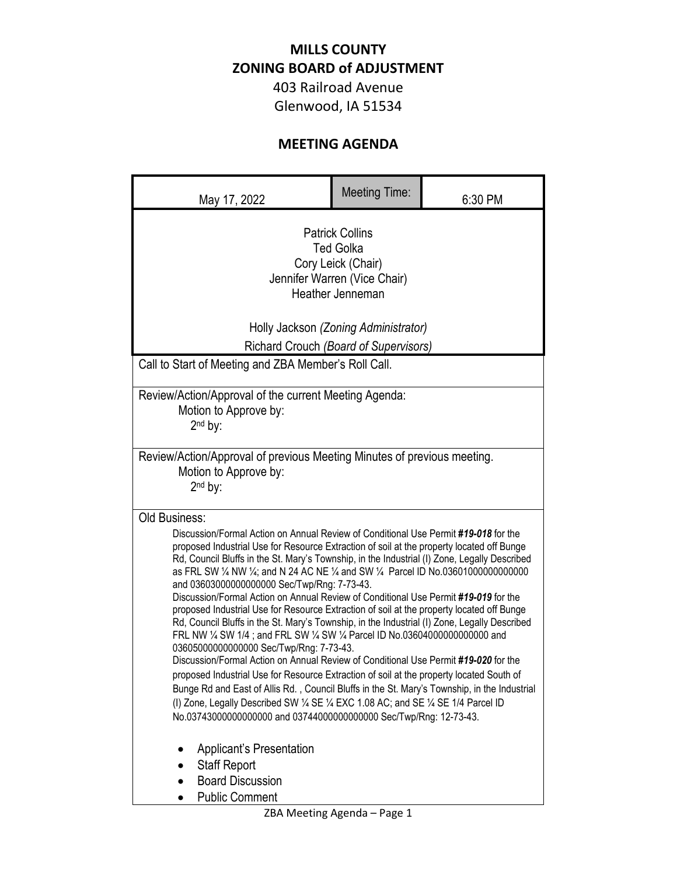## **MILLS COUNTY ZONING BOARD of ADJUSTMENT**

403 Railroad Avenue Glenwood, IA 51534

## **MEETING AGENDA**

| May 17, 2022                                                                                                                                                                                                                                                                                                                                                                                                                                                                                                                                                                                                                                                                                                                                                                                                                                                                                                                                                                                                                                                                                                                                                                                                                                                                                              | <b>Meeting Time:</b> | 6:30 PM |
|-----------------------------------------------------------------------------------------------------------------------------------------------------------------------------------------------------------------------------------------------------------------------------------------------------------------------------------------------------------------------------------------------------------------------------------------------------------------------------------------------------------------------------------------------------------------------------------------------------------------------------------------------------------------------------------------------------------------------------------------------------------------------------------------------------------------------------------------------------------------------------------------------------------------------------------------------------------------------------------------------------------------------------------------------------------------------------------------------------------------------------------------------------------------------------------------------------------------------------------------------------------------------------------------------------------|----------------------|---------|
| <b>Patrick Collins</b><br><b>Ted Golka</b><br>Cory Leick (Chair)<br>Jennifer Warren (Vice Chair)<br>Heather Jenneman<br>Holly Jackson (Zoning Administrator)                                                                                                                                                                                                                                                                                                                                                                                                                                                                                                                                                                                                                                                                                                                                                                                                                                                                                                                                                                                                                                                                                                                                              |                      |         |
| Richard Crouch (Board of Supervisors)<br>Call to Start of Meeting and ZBA Member's Roll Call.                                                                                                                                                                                                                                                                                                                                                                                                                                                                                                                                                                                                                                                                                                                                                                                                                                                                                                                                                                                                                                                                                                                                                                                                             |                      |         |
| Review/Action/Approval of the current Meeting Agenda:<br>Motion to Approve by:<br>2 <sup>nd</sup> by:                                                                                                                                                                                                                                                                                                                                                                                                                                                                                                                                                                                                                                                                                                                                                                                                                                                                                                                                                                                                                                                                                                                                                                                                     |                      |         |
| Review/Action/Approval of previous Meeting Minutes of previous meeting.<br>Motion to Approve by:<br>$2nd$ by:                                                                                                                                                                                                                                                                                                                                                                                                                                                                                                                                                                                                                                                                                                                                                                                                                                                                                                                                                                                                                                                                                                                                                                                             |                      |         |
| <b>Old Business:</b><br>Discussion/Formal Action on Annual Review of Conditional Use Permit #19-018 for the<br>proposed Industrial Use for Resource Extraction of soil at the property located off Bunge<br>Rd, Council Bluffs in the St. Mary's Township, in the Industrial (I) Zone, Legally Described<br>as FRL SW 1/4 NW 1/4; and N 24 AC NE 1/4 and SW 1/4 Parcel ID No.03601000000000000<br>and 03603000000000000 Sec/Twp/Rng: 7-73-43.<br>Discussion/Formal Action on Annual Review of Conditional Use Permit #19-019 for the<br>proposed Industrial Use for Resource Extraction of soil at the property located off Bunge<br>Rd, Council Bluffs in the St. Mary's Township, in the Industrial (I) Zone, Legally Described<br>FRL NW 1/4 SW 1/4; and FRL SW 1/4 SW 1/4 Parcel ID No.03604000000000000 and<br>03605000000000000 Sec/Twp/Rng: 7-73-43.<br>Discussion/Formal Action on Annual Review of Conditional Use Permit #19-020 for the<br>proposed Industrial Use for Resource Extraction of soil at the property located South of<br>Bunge Rd and East of Allis Rd., Council Bluffs in the St. Mary's Township, in the Industrial<br>(I) Zone, Legally Described SW 1/4 SE 1/4 EXC 1.08 AC; and SE 1/4 SE 1/4 Parcel ID<br>No.03743000000000000 and 03744000000000000 Sec/Twp/Rng: 12-73-43. |                      |         |
| <b>Applicant's Presentation</b><br><b>Staff Report</b><br><b>Board Discussion</b><br><b>Public Comment</b>                                                                                                                                                                                                                                                                                                                                                                                                                                                                                                                                                                                                                                                                                                                                                                                                                                                                                                                                                                                                                                                                                                                                                                                                |                      |         |